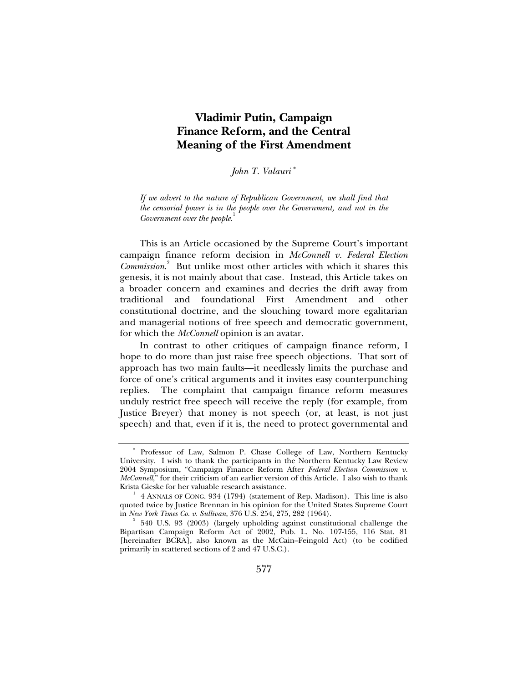# **Vladimir Putin, Campaign Finance Reform, and the Central Meaning of the First Amendment**

# *John T. Valauri* <sup>∗</sup>

*If we advert to the nature of Republican Government, we shall find that the censorial power is in the people over the Government, and not in the*  Government over the people.<sup>1</sup>

This is an Article occasioned by the Supreme Court's important campaign finance reform decision in *McConnell v. Federal Election Commission*. 2 But unlike most other articles with which it shares this genesis, it is not mainly about that case. Instead, this Article takes on a broader concern and examines and decries the drift away from traditional and foundational First Amendment and other constitutional doctrine, and the slouching toward more egalitarian and managerial notions of free speech and democratic government, for which the *McConnell* opinion is an avatar.

In contrast to other critiques of campaign finance reform, I hope to do more than just raise free speech objections. That sort of approach has two main faults—it needlessly limits the purchase and force of one's critical arguments and it invites easy counterpunching replies. The complaint that campaign finance reform measures unduly restrict free speech will receive the reply (for example, from Justice Breyer) that money is not speech (or, at least, is not just speech) and that, even if it is, the need to protect governmental and

<sup>∗</sup> Professor of Law, Salmon P. Chase College of Law, Northern Kentucky University. I wish to thank the participants in the Northern Kentucky Law Review 2004 Symposium, "Campaign Finance Reform After *Federal Election Commission v. McConnell*," for their criticism of an earlier version of this Article. I also wish to thank Krista Gieske for her valuable research assistance. 1

 <sup>4</sup> ANNALS OF CONG. 934 (1794) (statement of Rep. Madison). This line is also quoted twice by Justice Brennan in his opinion for the United States Supreme Court in *New York Times Co. v. Sullivan*, 376 U.S. 254, 275, 282 (1964). 2

 $2$  540 U.S. 93 (2003) (largely upholding against constitutional challenge the Bipartisan Campaign Reform Act of 2002, Pub. L. No. 107-155, 116 Stat. 81 [hereinafter BCRA], also known as the McCain-Feingold Act) (to be codified primarily in scattered sections of 2 and 47 U.S.C.).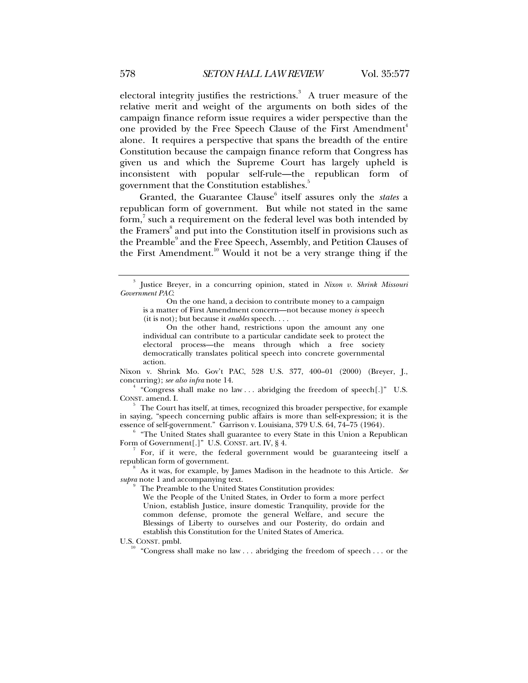electoral integrity justifies the restrictions.<sup>3</sup> A truer measure of the relative merit and weight of the arguments on both sides of the campaign finance reform issue requires a wider perspective than the one provided by the Free Speech Clause of the First Amendment<sup>4</sup> alone. It requires a perspective that spans the breadth of the entire Constitution because the campaign finance reform that Congress has given us and which the Supreme Court has largely upheld is inconsistent with popular self-rule—the republican form of government that the Constitution establishes.<sup>5</sup>

Granted, the Guarantee Clause<sup>6</sup> itself assures only the *states* a republican form of government. But while not stated in the same form, $^7$  such a requirement on the federal level was both intended by the Framers<sup>8</sup> and put into the Constitution itself in provisions such as the Preamble<sup>9</sup> and the Free Speech, Assembly, and Petition Clauses of the First Amendment.<sup>10</sup> Would it not be a very strange thing if the

On the other hand, restrictions upon the amount any one individual can contribute to a particular candidate seek to protect the electoral process—the means through which a free society democratically translates political speech into concrete governmental action.

Nixon v. Shrink Mo. Gov't PAC, 528 U.S. 377, 400–01 (2000) (Breyer, J., concurring); see also infra note 14.

<sup>4</sup> "Congress shall make no law ... abridging the freedom of speech[.]" U.S. CONST. amend. I.

 $\frac{5}{5}$  The Court has itself, at times, recognized this broader perspective, for example in saying, "speech concerning public affairs is more than self-expression; it is the essence of self-government." Garrison v. Louisiana, 379 U.S. 64, 74-75 (1964).

 "The United States shall guarantee to every State in this Union a Republican Form of Government[.]" U.S. CONST. art. IV, § 4.

 For, if it were, the federal government would be guaranteeing itself a republican form of government.

 As it was, for example, by James Madison in the headnote to this Article. *See supra* note 1 and accompanying text.

The Preamble to the United States Constitution provides:

We the People of the United States, in Order to form a more perfect Union, establish Justice, insure domestic Tranquility, provide for the common defense, promote the general Welfare, and secure the Blessings of Liberty to ourselves and our Posterity, do ordain and establish this Constitution for the United States of America.

9

U.S. CONST. pmbl. "Congress shall make no law . . . abridging the freedom of speech . . . or the

<sup>3</sup> Justice Breyer, in a concurring opinion, stated in *Nixon v. Shrink Missouri Government PAC*:

On the one hand, a decision to contribute money to a campaign is a matter of First Amendment concern—not because money *is* speech (it is not); but because it *enables* speech. . . .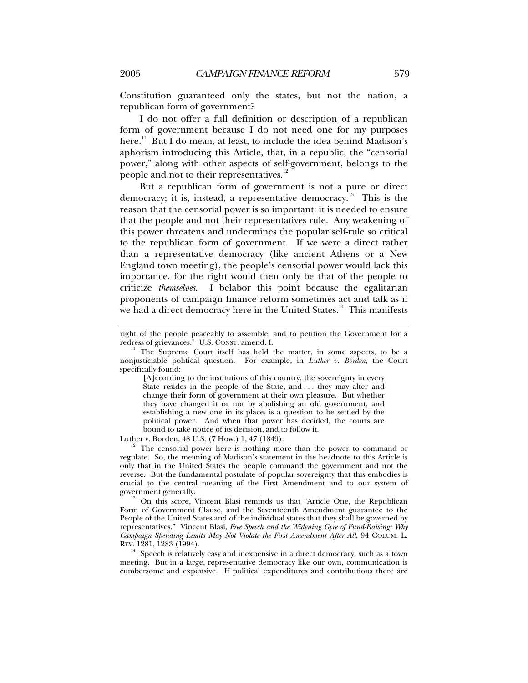Constitution guaranteed only the states, but not the nation, a republican form of government?

I do not offer a full definition or description of a republican form of government because I do not need one for my purposes here.<sup>11</sup> But I do mean, at least, to include the idea behind Madison's aphorism introducing this Article, that, in a republic, the "censorial power," along with other aspects of self-government, belongs to the people and not to their representatives.<sup>1</sup>

But a republican form of government is not a pure or direct democracy; it is, instead, a representative democracy.<sup>13</sup> This is the reason that the censorial power is so important: it is needed to ensure that the people and not their representatives rule. Any weakening of this power threatens and undermines the popular self-rule so critical to the republican form of government. If we were a direct rather than a representative democracy (like ancient Athens or a New England town meeting), the people's censorial power would lack this importance, for the right would then only be that of the people to criticize *themselves*. I belabor this point because the egalitarian proponents of campaign finance reform sometimes act and talk as if we had a direct democracy here in the United States.<sup>14</sup> This manifests

[A]ccording to the institutions of this country, the sovereignty in every State resides in the people of the State, and . . . they may alter and change their form of government at their own pleasure. But whether they have changed it or not by abolishing an old government, and establishing a new one in its place, is a question to be settled by the political power. And when that power has decided, the courts are bound to take notice of its decision, and to follow it.

Luther v. Borden, 48 U.S. (7 How.) 1, 47 (1849).<br><sup>12</sup> The censorial power here is nothing more than the power to command or regulate. So, the meaning of Madison's statement in the headnote to this Article is only that in the United States the people command the government and not the reverse. But the fundamental postulate of popular sovereignty that this embodies is crucial to the central meaning of the First Amendment and to our system of

<sup>13</sup> On this score, Vincent Blasi reminds us that "Article One, the Republican Form of Government Clause, and the Seventeenth Amendment guarantee to the People of the United States and of the individual states that they shall be governed by representatives." Vincent Blasi, *Free Speech and the Widening Gyre of Fund-Raising: Why Campaign Spending Limits May Not Violate the First Amendment After All*, 94 COLUM. L. REV. 1281, 1283 (1994).

 $^{14}\;$  Speech is relatively easy and inexpensive in a direct democracy, such as a town meeting. But in a large, representative democracy like our own, communication is cumbersome and expensive. If political expenditures and contributions there are

right of the people peaceably to assemble, and to petition the Government for a redress of grievances." U.S. CONST. amend. I.

 $n<sup>H</sup>$  The Supreme Court itself has held the matter, in some aspects, to be a nonjusticiable political question. For example, in *Luther v. Borden*, the Court specifically found: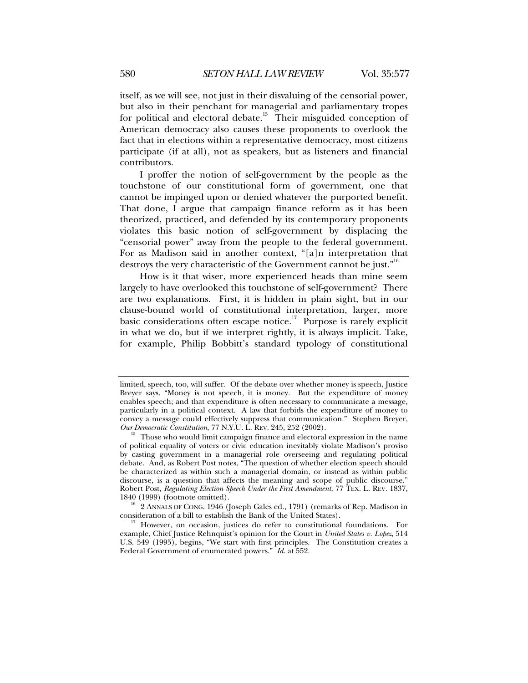itself, as we will see, not just in their disvaluing of the censorial power, but also in their penchant for managerial and parliamentary tropes for political and electoral debate.<sup>15</sup> Their misguided conception of American democracy also causes these proponents to overlook the fact that in elections within a representative democracy, most citizens participate (if at all), not as speakers, but as listeners and financial contributors.

I proffer the notion of self-government by the people as the touchstone of our constitutional form of government, one that cannot be impinged upon or denied whatever the purported benefit. That done, I argue that campaign finance reform as it has been theorized, practiced, and defended by its contemporary proponents violates this basic notion of self-government by displacing the "censorial power" away from the people to the federal government. For as Madison said in another context, "[a]n interpretation that destroys the very characteristic of the Government cannot be just."<sup>16</sup>

How is it that wiser, more experienced heads than mine seem largely to have overlooked this touchstone of self-government? There are two explanations. First, it is hidden in plain sight, but in our clause-bound world of constitutional interpretation, larger, more basic considerations often escape notice.<sup>17</sup> Purpose is rarely explicit in what we do, but if we interpret rightly, it is always implicit. Take, for example, Philip Bobbitt's standard typology of constitutional

<sup>16</sup> 2 ANNALS OF CONG. 1946 (Joseph Gales ed., 1791) (remarks of Rep. Madison in consideration of a bill to establish the Bank of the United States).

limited, speech, too, will suffer. Of the debate over whether money is speech, Justice Breyer says, "Money is not speech, it is money. But the expenditure of money enables speech; and that expenditure is often necessary to communicate a message, particularly in a political context. A law that forbids the expenditure of money to convey a message could effectively suppress that communication." Stephen Breyer, Our Democratic Constitution, 77 N.Y.U. L. REV. 245, 252 (2002).

<sup>&</sup>lt;sup>15</sup> Those who would limit campaign finance and electoral expression in the name of political equality of voters or civic education inevitably violate Madison's proviso by casting government in a managerial role overseeing and regulating political debate. And, as Robert Post notes, "The question of whether election speech should be characterized as within such a managerial domain, or instead as within public discourse, is a question that affects the meaning and scope of public discourse." Robert Post, *Regulating Election Speech Under the First Amendment*, 77 TEX. L. REV. 1837,

However, on occasion, justices do refer to constitutional foundations. For example, Chief Justice Rehnquist's opinion for the Court in *United States v. Lopez*, 514 U.S. 549 (1995), begins, "We start with first principles. The Constitution creates a Federal Government of enumerated powers." *Id.* at 552.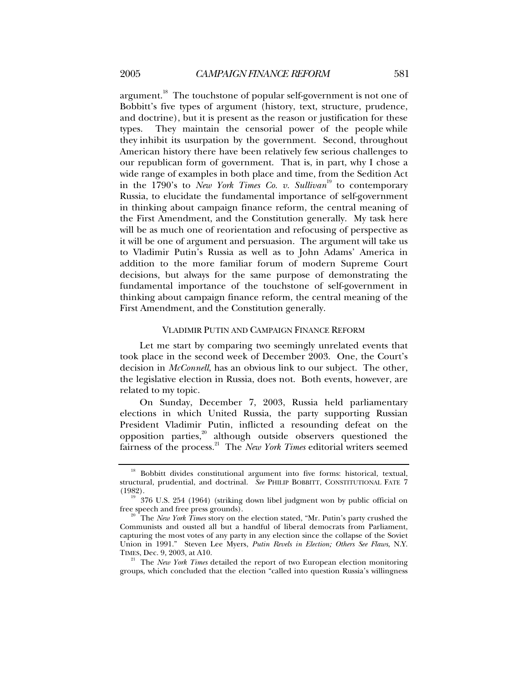argument.<sup>18</sup> The touchstone of popular self-government is not one of Bobbitt's five types of argument (history, text, structure, prudence, and doctrine), but it is present as the reason or justification for these types. They maintain the censorial power of the people while they inhibit its usurpation by the government. Second, throughout American history there have been relatively few serious challenges to our republican form of government. That is, in part, why I chose a wide range of examples in both place and time, from the Sedition Act in the 1790's to *New York Times Co. v. Sullivan*<sup>19</sup> to contemporary Russia, to elucidate the fundamental importance of self-government in thinking about campaign finance reform, the central meaning of the First Amendment, and the Constitution generally. My task here will be as much one of reorientation and refocusing of perspective as it will be one of argument and persuasion. The argument will take us to Vladimir Putin's Russia as well as to John Adams' America in addition to the more familiar forum of modern Supreme Court decisions, but always for the same purpose of demonstrating the fundamental importance of the touchstone of self-government in thinking about campaign finance reform, the central meaning of the First Amendment, and the Constitution generally.

#### VLADIMIR PUTIN AND CAMPAIGN FINANCE REFORM

Let me start by comparing two seemingly unrelated events that took place in the second week of December 2003. One, the Court's decision in *McConnell*, has an obvious link to our subject. The other, the legislative election in Russia, does not. Both events, however, are related to my topic.

On Sunday, December 7, 2003, Russia held parliamentary elections in which United Russia, the party supporting Russian President Vladimir Putin, inflicted a resounding defeat on the opposition parties, $2^{\circ}$  although outside observers questioned the fairness of the process.21 The *New York Times* editorial writers seemed

<sup>&</sup>lt;sup>18</sup> Bobbitt divides constitutional argument into five forms: historical, textual, structural, prudential, and doctrinal. *See* PHILIP BOBBITT, CONSTITUTIONAL FATE 7

<sup>(1982).&</sup>lt;br> $\frac{19}{19}$  376 U.S. 254 (1964) (striking down libel judgment won by public official on free speech and free press grounds). 20 The *New York Times* story on the election stated, "Mr. Putin's party crushed the

Communists and ousted all but a handful of liberal democrats from Parliament, capturing the most votes of any party in any election since the collapse of the Soviet Union in 1991." Steven Lee Myers, *Putin Revels in Election; Others See Flaws*, N.Y. TIMES, Dec. 9, 2003, at A10.<br><sup>21</sup> The *New York Times* detailed the report of two European election monitoring

groups, which concluded that the election "called into question Russia's willingness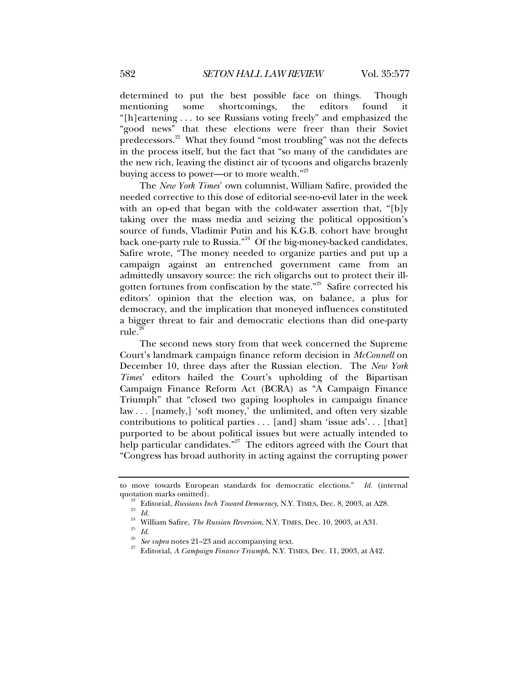determined to put the best possible face on things. Though mentioning some shortcomings, the editors found it "[h]eartening . . . to see Russians voting freely" and emphasized the "good news" that these elections were freer than their Soviet predecessors.<sup>22</sup> What they found "most troubling" was not the defects in the process itself, but the fact that "so many of the candidates are the new rich, leaving the distinct air of tycoons and oligarchs brazenly buying access to power—or to more wealth."<sup>23</sup>

The *New York Times*' own columnist, William Safire, provided the needed corrective to this dose of editorial see-no-evil later in the week with an op-ed that began with the cold-water assertion that, "[b]y taking over the mass media and seizing the political opposition's source of funds, Vladimir Putin and his K.G.B. cohort have brought back one-party rule to Russia."<sup>24</sup> Of the big-money-backed candidates, Safire wrote, "The money needed to organize parties and put up a campaign against an entrenched government came from an admittedly unsavory source: the rich oligarchs out to protect their illgotten fortunes from confiscation by the state."25 Safire corrected his editors' opinion that the election was, on balance, a plus for democracy, and the implication that moneyed influences constituted a bigger threat to fair and democratic elections than did one-party rule.

The second news story from that week concerned the Supreme Court's landmark campaign finance reform decision in *McConnell* on December 10, three days after the Russian election. The *New York Times*' editors hailed the Court's upholding of the Bipartisan Campaign Finance Reform Act (BCRA) as "A Campaign Finance Triumph" that "closed two gaping loopholes in campaign finance law . . . [namely,] 'soft money,' the unlimited, and often very sizable contributions to political parties . . . [and] sham 'issue ads'. . . [that] purported to be about political issues but were actually intended to help particular candidates."<sup>27</sup> The editors agreed with the Court that "Congress has broad authority in acting against the corrupting power

to move towards European standards for democratic elections." *Id.* (internal

quotation marks omitted).<br><sup>22</sup> Editorial, *Russians Inch Toward Democracy*, N.Y. TIMES, Dec. 8, 2003, at A28.<br><sup>23</sup> *Id.*<br><sup>24</sup> MeVice S.G. *C. R. D. L. P. L. N.Y. TRES* D. 10, 0008, 14.81

<sup>&</sup>lt;sup>24</sup> William Safire, *The Russian Reversion*, N.Y. TIMES, Dec. 10, 2003, at A31.<br><sup>25</sup> *Id*.

<sup>26</sup> *See supra* notes 21–23 and accompanying text. 27 Editorial, *A Campaign Finance Triumph*, N.Y. TIMES, Dec. 11, 2003, at A42.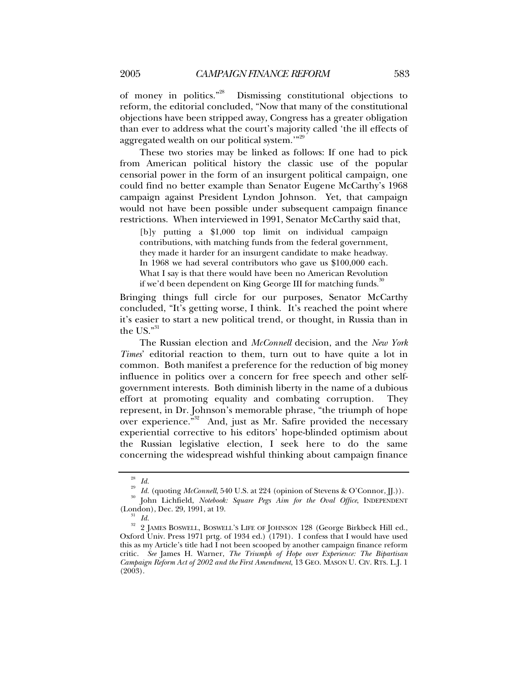of money in politics."28 Dismissing constitutional objections to reform, the editorial concluded, "Now that many of the constitutional objections have been stripped away, Congress has a greater obligation than ever to address what the court's majority called 'the ill effects of aggregated wealth on our political system."<sup>29</sup>

These two stories may be linked as follows: If one had to pick from American political history the classic use of the popular censorial power in the form of an insurgent political campaign, one could find no better example than Senator Eugene McCarthy's 1968 campaign against President Lyndon Johnson. Yet, that campaign would not have been possible under subsequent campaign finance restrictions. When interviewed in 1991, Senator McCarthy said that,

[b]y putting a \$1,000 top limit on individual campaign contributions, with matching funds from the federal government, they made it harder for an insurgent candidate to make headway. In 1968 we had several contributors who gave us \$100,000 each. What I say is that there would have been no American Revolution if we'd been dependent on King George III for matching funds.<sup>30</sup>

Bringing things full circle for our purposes, Senator McCarthy concluded, "It's getting worse, I think. It's reached the point where it's easier to start a new political trend, or thought, in Russia than in the US." $31$ 

The Russian election and *McConnell* decision, and the *New York Times*' editorial reaction to them, turn out to have quite a lot in common. Both manifest a preference for the reduction of big money influence in politics over a concern for free speech and other selfgovernment interests. Both diminish liberty in the name of a dubious effort at promoting equality and combating corruption. They represent, in Dr. Johnson's memorable phrase, "the triumph of hope over experience."<sup>32</sup> And, just as Mr. Safire provided the necessary experiential corrective to his editors' hope-blinded optimism about the Russian legislative election, I seek here to do the same concerning the widespread wishful thinking about campaign finance

<sup>28</sup> *Id.*

<sup>&</sup>lt;sup>29</sup> Id. (quoting *McConnell*, 540 U.S. at 224 (opinion of Stevens & O'Connor, JJ.)).<br><sup>30</sup> John Lichfield, *Notebook: Square Pegs Aim for the Oval Office*, INDEPENDENT (London), Dec. 29, 1991, at 19. 31 *Id.*

<sup>&</sup>lt;sup>32</sup> 2 JAMES BOSWELL, BOSWELL'S LIFE OF JOHNSON 128 (George Birkbeck Hill ed., Oxford Univ. Press 1971 prtg. of 1934 ed.) (1791). I confess that I would have used this as my Article's title had I not been scooped by another campaign finance reform critic. *See* James H. Warner, *The Triumph of Hope over Experience: The Bipartisan Campaign Reform Act of 2002 and the First Amendment*, 13 GEO. MASON U. CIV. RTS. L.J. 1 (2003).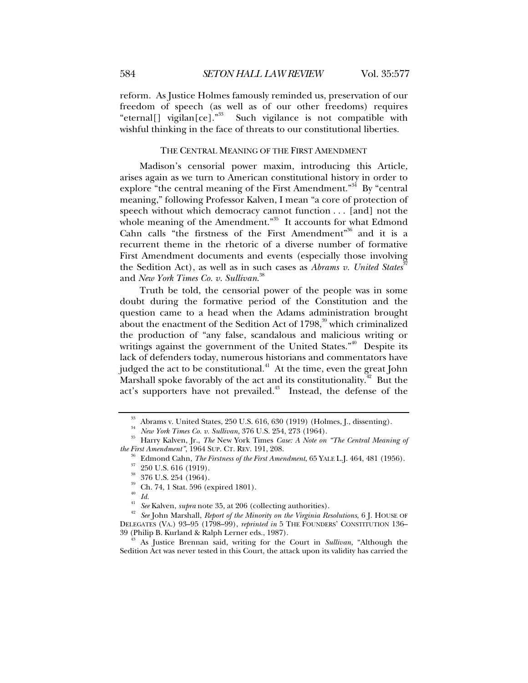reform. As Justice Holmes famously reminded us, preservation of our freedom of speech (as well as of our other freedoms) requires "eternal[] vigilan[ce]."<sup>33</sup> Such vigilance is not compatible with wishful thinking in the face of threats to our constitutional liberties.

## THE CENTRAL MEANING OF THE FIRST AMENDMENT

Madison's censorial power maxim, introducing this Article, arises again as we turn to American constitutional history in order to explore "the central meaning of the First Amendment."<sup>34</sup> By "central meaning," following Professor Kalven, I mean "a core of protection of speech without which democracy cannot function . . . [and] not the whole meaning of the Amendment."<sup>35</sup> It accounts for what Edmond Cahn calls "the firstness of the First Amendment"<sup>36</sup> and it is a recurrent theme in the rhetoric of a diverse number of formative First Amendment documents and events (especially those involving the Sedition Act), as well as in such cases as *Abrams v. United States*<sup>37</sup> and *New York Times Co. v. Sullivan*. 38

Truth be told, the censorial power of the people was in some doubt during the formative period of the Constitution and the question came to a head when the Adams administration brought about the enactment of the Sedition Act of  $1798<sup>39</sup>$  which criminalized the production of "any false, scandalous and malicious writing or writings against the government of the United States."<sup>40</sup> Despite its lack of defenders today, numerous historians and commentators have judged the act to be constitutional.<sup>41</sup> At the time, even the great John Marshall spoke favorably of the act and its constitutionality.<sup> $42$ </sup> But the act's supporters have not prevailed.<sup>43</sup> Instead, the defense of the

 $^{40}$  *Id.*<br> $^{41}$  *See* Kalven, *supra* note 35, at 206 (collecting authorities).

<sup>43</sup> As Justice Brennan said, writing for the Court in *Sullivan*, "Although the Sedition Act was never tested in this Court, the attack upon its validity has carried the

<sup>&</sup>lt;sup>33</sup> Abrams v. United States, 250 U.S. 616, 630 (1919) (Holmes, J., dissenting).<br><sup>34</sup> New York Times Co. v. Sullivan, 376 U.S. 254, 273 (1964).

<sup>&</sup>lt;sup>35</sup> Harry Kalven, Jr., *The New York Times Case: A Note on "The Central Meaning of the First Amendment"*, 1964 SUP. CT. REV. 191, 208.

<sup>&</sup>lt;sup>36</sup> Edmond Cahn, *The Firstness of the First Amendment*, 65 YALE L.J. 464, 481 (1956). <sup>37</sup> 250 U.S. 616 (1919).

 $\frac{38}{39}$  376 U.S. 254 (1964).

 $\frac{39}{40}$  Ch. 74, 1 Stat. 596 (expired 1801).

*See* John Marshall, *Report of the Minority on the Virginia Resolutions*, 6 J. HOUSE OF DELEGATES (VA.) 93–95 (1798–99), *reprinted in* 5 THE FOUNDERS' CONSTITUTION 136–39 (Philip B. Kurland & Ralph Lerner eds., 1987).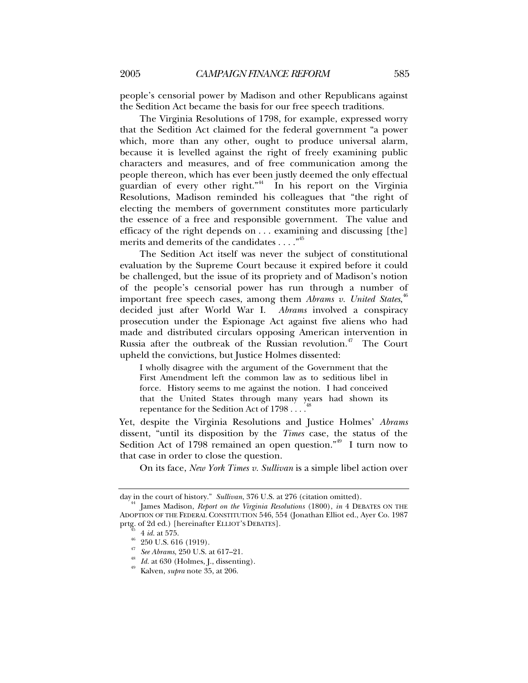people's censorial power by Madison and other Republicans against the Sedition Act became the basis for our free speech traditions.

The Virginia Resolutions of 1798, for example, expressed worry that the Sedition Act claimed for the federal government "a power which, more than any other, ought to produce universal alarm, because it is levelled against the right of freely examining public characters and measures, and of free communication among the people thereon, which has ever been justly deemed the only effectual guardian of every other right."44 In his report on the Virginia Resolutions, Madison reminded his colleagues that "the right of electing the members of government constitutes more particularly the essence of a free and responsible government. The value and efficacy of the right depends on . . . examining and discussing [the] merits and demerits of the candidates . . . . "<sup>45</sup>

The Sedition Act itself was never the subject of constitutional evaluation by the Supreme Court because it expired before it could be challenged, but the issue of its propriety and of Madison's notion of the people's censorial power has run through a number of important free speech cases, among them *Abrams v. United States*, 46 decided just after World War I. *Abrams* involved a conspiracy prosecution under the Espionage Act against five aliens who had made and distributed circulars opposing American intervention in Russia after the outbreak of the Russian revolution.<sup>47</sup> The Court upheld the convictions, but Justice Holmes dissented:

I wholly disagree with the argument of the Government that the First Amendment left the common law as to seditious libel in force. History seems to me against the notion. I had conceived that the United States through many years had shown its repentance for the Sedition Act of  $1798...$ <sup>4</sup>

Yet, despite the Virginia Resolutions and Justice Holmes' *Abrams* dissent, "until its disposition by the *Times* case, the status of the Sedition Act of 1798 remained an open question." $49$  I turn now to that case in order to close the question.

On its face, *New York Times v. Sullivan* is a simple libel action over

day in the court of history." *Sullivan*, 376 U.S. at 276 (citation omitted). 44 James Madison, *Report on the Virginia Resolutions* (1800), *in* 4 DEBATES ON THE ADOPTION OF THE FEDERAL CONSTITUTION 546, 554 (Jonathan Elliot ed., Ayer Co. 1987 prtg. of 2d ed.) [hereinafter ELLIOT'S DEBATES].<br>
<sup>45</sup> 4 *id.* at 575.<br>
<sup>47</sup> 250 U.S. 616 (1919).<br> *Ar See Abrams*, 250 U.S. at 617–21.

<sup>&</sup>lt;sup>48</sup> *Id.* at 630 (Holmes, J., dissenting).<br><sup>49</sup> Kalven, *supra* note 35, at 206.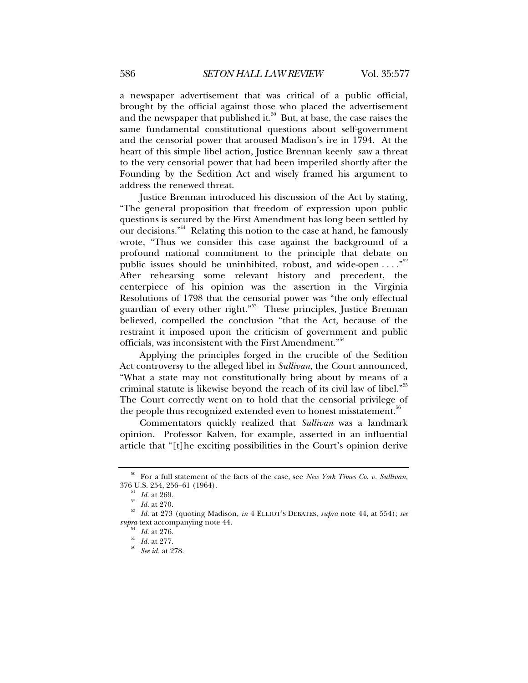a newspaper advertisement that was critical of a public official, brought by the official against those who placed the advertisement and the newspaper that published it.<sup>50</sup> But, at base, the case raises the same fundamental constitutional questions about self-government and the censorial power that aroused Madison's ire in 1794. At the heart of this simple libel action, Justice Brennan keenly saw a threat to the very censorial power that had been imperiled shortly after the Founding by the Sedition Act and wisely framed his argument to address the renewed threat.

Justice Brennan introduced his discussion of the Act by stating, "The general proposition that freedom of expression upon public questions is secured by the First Amendment has long been settled by our decisions."<sup>51</sup> Relating this notion to the case at hand, he famously wrote, "Thus we consider this case against the background of a profound national commitment to the principle that debate on public issues should be uninhibited, robust, and wide-open ...."<sup>52</sup> After rehearsing some relevant history and precedent, the centerpiece of his opinion was the assertion in the Virginia Resolutions of 1798 that the censorial power was "the only effectual guardian of every other right."53 These principles, Justice Brennan believed, compelled the conclusion "that the Act, because of the restraint it imposed upon the criticism of government and public officials, was inconsistent with the First Amendment."<sup>54</sup>

Applying the principles forged in the crucible of the Sedition Act controversy to the alleged libel in *Sullivan*, the Court announced, "What a state may not constitutionally bring about by means of a criminal statute is likewise beyond the reach of its civil law of libel."<sup>55</sup> The Court correctly went on to hold that the censorial privilege of the people thus recognized extended even to honest misstatement.<sup>36</sup>

Commentators quickly realized that *Sullivan* was a landmark opinion. Professor Kalven, for example, asserted in an influential article that "[t]he exciting possibilities in the Court's opinion derive

<sup>50</sup> For a full statement of the facts of the case, see *New York Times Co. v. Sullivan*,

<sup>376</sup> U.S. 254, 256–61 (1964). 51 *Id.* at 269. 52 *Id.* at 270. <sup>53</sup> *Id.* at 273 (quoting Madison, *in* 4 ELLIOT'S DEBATES, *supra* note 44, at 554); *see supra* text accompanying note 44. 54 *Id.* at 276. 55 *Id.* at 277. 56 *See id.* at 278.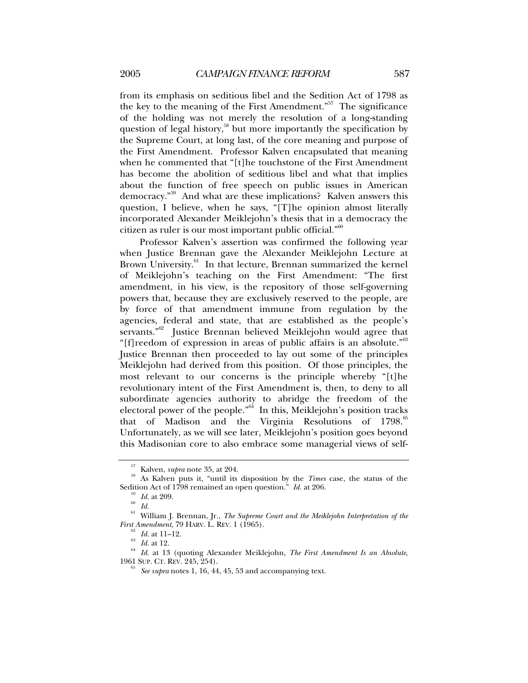from its emphasis on seditious libel and the Sedition Act of 1798 as the key to the meaning of the First Amendment. $\frac{1}{100}$  The significance of the holding was not merely the resolution of a long-standing question of legal history,<sup>58</sup> but more importantly the specification by the Supreme Court, at long last, of the core meaning and purpose of the First Amendment. Professor Kalven encapsulated that meaning when he commented that "[t]he touchstone of the First Amendment has become the abolition of seditious libel and what that implies about the function of free speech on public issues in American democracy."59 And what are these implications? Kalven answers this question, I believe, when he says, "[T]he opinion almost literally incorporated Alexander Meiklejohn's thesis that in a democracy the citizen as ruler is our most important public official."60

Professor Kalven's assertion was confirmed the following year when Justice Brennan gave the Alexander Meiklejohn Lecture at Brown University.<sup>61</sup> In that lecture, Brennan summarized the kernel of Meiklejohn's teaching on the First Amendment: "The first amendment, in his view, is the repository of those self-governing powers that, because they are exclusively reserved to the people, are by force of that amendment immune from regulation by the agencies, federal and state, that are established as the people's servants."<sup>62</sup> Justice Brennan believed Meiklejohn would agree that "[f]reedom of expression in areas of public affairs is an absolute."<sup>63</sup> Justice Brennan then proceeded to lay out some of the principles Meiklejohn had derived from this position. Of those principles, the most relevant to our concerns is the principle whereby "[t]he revolutionary intent of the First Amendment is, then, to deny to all subordinate agencies authority to abridge the freedom of the electoral power of the people."<sup>64</sup> In this, Meiklejohn's position tracks that of Madison and the Virginia Resolutions of  $1798$ .<sup>65</sup> Unfortunately, as we will see later, Meiklejohn's position goes beyond this Madisonian core to also embrace some managerial views of self-

<sup>57</sup> Kalven, *supra* note 35, at 204. 58 As Kalven puts it, "until its disposition by the *Times* case, the status of the Sedition Act of 1798 remained an open question." *Id.* at 206.<br><sup>59</sup> *Id.* at 209.<br>*60 Id.* 

<sup>61</sup> William J. Brennan, Jr., *The Supreme Court and the Meiklejohn Interpretation of the* 

*First Amendment*, 79 HARV. L. REV. 1 (1965).<br><sup>62</sup> *Id.* at 11–12.<br><sup>63</sup> *Id.* at 12.<br><sup>64</sup> *Id.* at 13 (quoting Alexander Meiklejohn, *The First Amendment Is an Absolute*,<br>1961 SUP. CT. REV. 245, 254).

See supra notes 1, 16, 44, 45, 53 and accompanying text.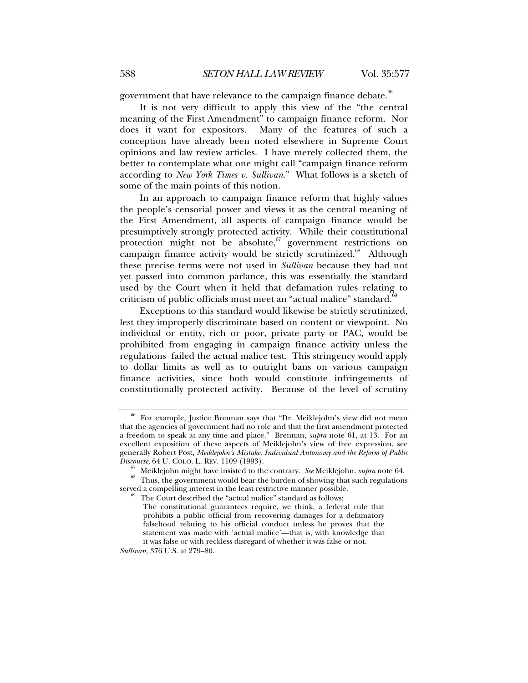government that have relevance to the campaign finance debate.<sup>66</sup>

It is not very difficult to apply this view of the "the central meaning of the First Amendment" to campaign finance reform. Nor does it want for expositors. Many of the features of such a conception have already been noted elsewhere in Supreme Court opinions and law review articles. I have merely collected them, the better to contemplate what one might call "campaign finance reform according to *New York Times v. Sullivan*." What follows is a sketch of some of the main points of this notion.

In an approach to campaign finance reform that highly values the people's censorial power and views it as the central meaning of the First Amendment, all aspects of campaign finance would be presumptively strongly protected activity. While their constitutional protection might not be absolute,  $\frac{67}{9}$  government restrictions on campaign finance activity would be strictly scrutinized. $68$  Although these precise terms were not used in *Sullivan* because they had not yet passed into common parlance, this was essentially the standard used by the Court when it held that defamation rules relating to criticism of public officials must meet an "actual malice" standard.<sup>6</sup>

Exceptions to this standard would likewise be strictly scrutinized, lest they improperly discriminate based on content or viewpoint. No individual or entity, rich or poor, private party or PAC, would be prohibited from engaging in campaign finance activity unless the regulations failed the actual malice test. This stringency would apply to dollar limits as well as to outright bans on various campaign finance activities, since both would constitute infringements of constitutionally protected activity. Because of the level of scrutiny

*Sullivan*, 376 U.S. at 279–80.

<sup>66</sup> For example, Justice Brennan says that "Dr. Meiklejohn's view did not mean that the agencies of government had no role and that the first amendment protected a freedom to speak at any time and place." Brennan, *supra* note 61, at 13. For an excellent exposition of these aspects of Meiklejohn's view of free expression, see generally Robert Post, *Meiklejohn's Mistake: Individual Autonomy and the Reform of Public* 

<sup>&</sup>lt;sup>67</sup> Meiklejohn might have insisted to the contrary. *See* Meiklejohn, *supra* note 64.<br><sup>68</sup> Thus, the government would bear the burden of showing that such regulations served a compelling interest in the least restrictiv

The Court described the "actual malice" standard as follows:

The constitutional guarantees require, we think, a federal rule that prohibits a public official from recovering damages for a defamatory falsehood relating to his official conduct unless he proves that the statement was made with 'actual malice'—that is, with knowledge that it was false or with reckless disregard of whether it was false or not.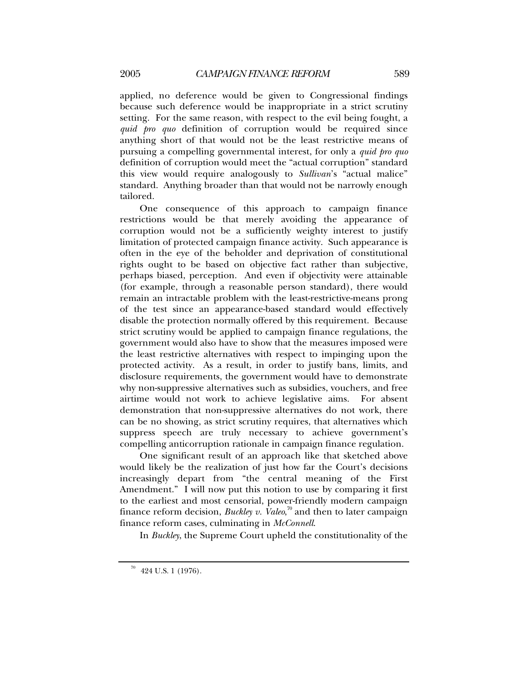applied, no deference would be given to Congressional findings because such deference would be inappropriate in a strict scrutiny setting. For the same reason, with respect to the evil being fought, a *quid pro quo* definition of corruption would be required since anything short of that would not be the least restrictive means of pursuing a compelling governmental interest, for only a *quid pro quo* definition of corruption would meet the "actual corruption" standard this view would require analogously to *Sullivan*'s "actual malice" standard. Anything broader than that would not be narrowly enough tailored.

One consequence of this approach to campaign finance restrictions would be that merely avoiding the appearance of corruption would not be a sufficiently weighty interest to justify limitation of protected campaign finance activity. Such appearance is often in the eye of the beholder and deprivation of constitutional rights ought to be based on objective fact rather than subjective, perhaps biased, perception. And even if objectivity were attainable (for example, through a reasonable person standard), there would remain an intractable problem with the least-restrictive-means prong of the test since an appearance-based standard would effectively disable the protection normally offered by this requirement. Because strict scrutiny would be applied to campaign finance regulations, the government would also have to show that the measures imposed were the least restrictive alternatives with respect to impinging upon the protected activity. As a result, in order to justify bans, limits, and disclosure requirements, the government would have to demonstrate why non-suppressive alternatives such as subsidies, vouchers, and free airtime would not work to achieve legislative aims. For absent demonstration that non-suppressive alternatives do not work, there can be no showing, as strict scrutiny requires, that alternatives which suppress speech are truly necessary to achieve government's compelling anticorruption rationale in campaign finance regulation.

One significant result of an approach like that sketched above would likely be the realization of just how far the Court's decisions increasingly depart from "the central meaning of the First Amendment." I will now put this notion to use by comparing it first to the earliest and most censorial, power-friendly modern campaign finance reform decision, *Buckley v. Valeo*, 70 and then to later campaign finance reform cases, culminating in *McConnell*.

In *Buckley*, the Supreme Court upheld the constitutionality of the

 $70$  424 U.S. 1 (1976).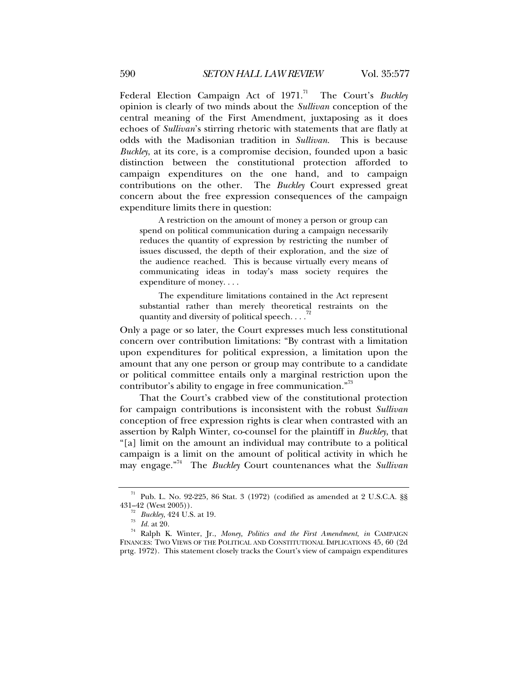Federal Election Campaign Act of 1971.<sup>71</sup> The Court's *Buckley* opinion is clearly of two minds about the *Sullivan* conception of the central meaning of the First Amendment, juxtaposing as it does echoes of *Sullivan*'s stirring rhetoric with statements that are flatly at odds with the Madisonian tradition in *Sullivan*. This is because *Buckley*, at its core, is a compromise decision, founded upon a basic distinction between the constitutional protection afforded to campaign expenditures on the one hand, and to campaign contributions on the other. The *Buckley* Court expressed great concern about the free expression consequences of the campaign expenditure limits there in question:

A restriction on the amount of money a person or group can spend on political communication during a campaign necessarily reduces the quantity of expression by restricting the number of issues discussed, the depth of their exploration, and the size of the audience reached. This is because virtually every means of communicating ideas in today's mass society requires the expenditure of money. . . .

The expenditure limitations contained in the Act represent substantial rather than merely theoretical restraints on the quantity and diversity of political speech. . . .<sup>7</sup>

Only a page or so later, the Court expresses much less constitutional concern over contribution limitations: "By contrast with a limitation upon expenditures for political expression, a limitation upon the amount that any one person or group may contribute to a candidate or political committee entails only a marginal restriction upon the contributor's ability to engage in free communication."<sup>73</sup>

That the Court's crabbed view of the constitutional protection for campaign contributions is inconsistent with the robust *Sullivan* conception of free expression rights is clear when contrasted with an assertion by Ralph Winter, co-counsel for the plaintiff in *Buckley*, that "[a] limit on the amount an individual may contribute to a political campaign is a limit on the amount of political activity in which he may engage."74 The *Buckley* Court countenances what the *Sullivan*

<sup>&</sup>lt;sup>71</sup> Pub. L. No. 92-225, 86 Stat. 3 (1972) (codified as amended at 2 U.S.C.A. §§ 431–42 (West 2005)).

<sup>&</sup>lt;sup>72</sup> Buckley, 424 U.S. at 19.<br><sup>73</sup> Id. at 20.<br><sup>74</sup> Ralph K. Winter, Jr., *Money, Politics and the First Amendment*, *in* CAMPAIGN FINANCES: TWO VIEWS OF THE POLITICAL AND CONSTITUTIONAL IMPLICATIONS 45, 60 (2d prtg. 1972). This statement closely tracks the Court's view of campaign expenditures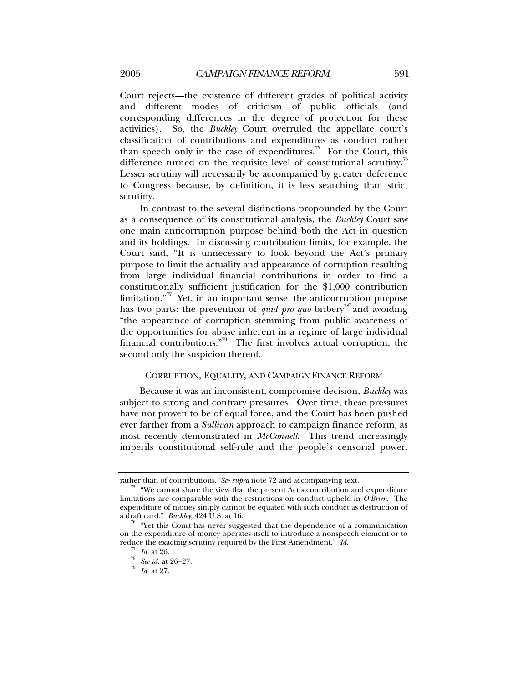Court rejects—the existence of different grades of political activity and different modes of criticism of public officials (and corresponding differences in the degree of protection for these activities). So, the *Buckley* Court overruled the appellate court's classification of contributions and expenditures as conduct rather than speech only in the case of expenditures.<sup>75</sup> For the Court, this difference turned on the requisite level of constitutional scrutiny.<sup>76</sup> Lesser scrutiny will necessarily be accompanied by greater deference to Congress because, by definition, it is less searching than strict scrutiny.

In contrast to the several distinctions propounded by the Court as a consequence of its constitutional analysis, the *Buckley* Court saw one main anticorruption purpose behind both the Act in question and its holdings. In discussing contribution limits, for example, the Court said, "It is unnecessary to look beyond the Act's primary purpose to limit the actuality and appearance of corruption resulting from large individual financial contributions in order to find a constitutionally sufficient justification for the \$1,000 contribution limitation." $77$  Yet, in an important sense, the anticorruption purpose has two parts: the prevention of *quid pro quo* bribery<sup>78</sup> and avoiding "the appearance of corruption stemming from public awareness of the opportunities for abuse inherent in a regime of large individual financial contributions.<sup>"79</sup> The first involves actual corruption, the second only the suspicion thereof.

## CORRUPTION, EQUALITY, AND CAMPAIGN FINANCE REFORM

Because it was an inconsistent, compromise decision, *Buckley* was subject to strong and contrary pressures. Over time, these pressures have not proven to be of equal force, and the Court has been pushed ever farther from a *Sullivan* approach to campaign finance reform, as most recently demonstrated in *McConnell*. This trend increasingly imperils constitutional self-rule and the people's censorial power.

rather than of contributions. *See supra* note 72 and accompanying text.<br><sup>75</sup> "We cannot share the view that the present Act's contribution and expenditure limitations are comparable with the restrictions on conduct upheld in *O'Brien*. The expenditure of money simply cannot be equated with such conduct as destruction of a draft card." *Buckley*,  $424$  U.S. at 16.

<sup>&</sup>lt;sup>3</sup> "Yet this Court has never suggested that the dependence of a communication on the expenditure of money operates itself to introduce a nonspeech element or to reduce the exacting scrutiny required by the First Amendment." *Id.* <sup>77</sup> *Id.* at 26. *See id.* at 26–27. *Id.* at 27.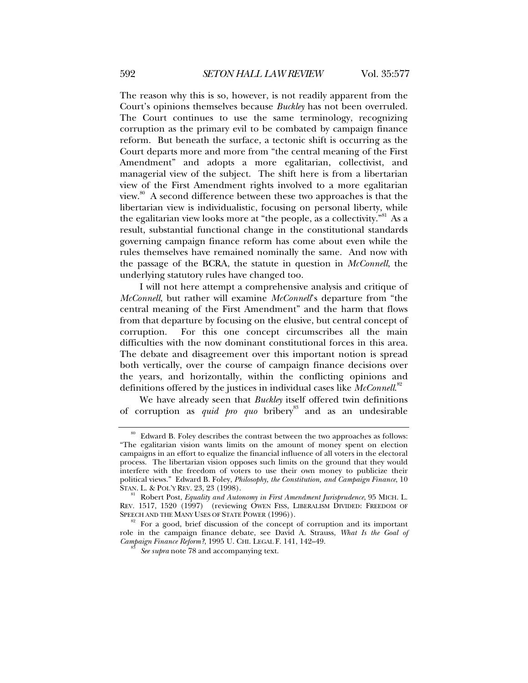The reason why this is so, however, is not readily apparent from the Court's opinions themselves because *Buckley* has not been overruled. The Court continues to use the same terminology, recognizing corruption as the primary evil to be combated by campaign finance reform. But beneath the surface, a tectonic shift is occurring as the Court departs more and more from "the central meaning of the First Amendment" and adopts a more egalitarian, collectivist, and managerial view of the subject. The shift here is from a libertarian view of the First Amendment rights involved to a more egalitarian view.<sup>80</sup> A second difference between these two approaches is that the libertarian view is individualistic, focusing on personal liberty, while the egalitarian view looks more at "the people, as a collectivity." As a result, substantial functional change in the constitutional standards governing campaign finance reform has come about even while the rules themselves have remained nominally the same. And now with the passage of the BCRA, the statute in question in *McConnell*, the underlying statutory rules have changed too.

I will not here attempt a comprehensive analysis and critique of *McConnell*, but rather will examine *McConnell*'s departure from "the central meaning of the First Amendment" and the harm that flows from that departure by focusing on the elusive, but central concept of corruption. For this one concept circumscribes all the main difficulties with the now dominant constitutional forces in this area. The debate and disagreement over this important notion is spread both vertically, over the course of campaign finance decisions over the years, and horizontally, within the conflicting opinions and definitions offered by the justices in individual cases like *McConnell*. 82

We have already seen that *Buckley* itself offered twin definitions of corruption as *quid pro quo* bribery<sup>83</sup> and as an undesirable

 $80$  Edward B. Foley describes the contrast between the two approaches as follows: "The egalitarian vision wants limits on the amount of money spent on election campaigns in an effort to equalize the financial influence of all voters in the electoral process. The libertarian vision opposes such limits on the ground that they would interfere with the freedom of voters to use their own money to publicize their political views." Edward B. Foley, *Philosophy, the Constitution, and Campaign Finance*, 10

Robert Post, *Equality and Autonomy in First Amendment Jurisprudence*, 95 MICH. L. REV. 1517, 1520 (1997) (reviewing OWEN FISS, LIBERALISM DIVIDED: FREEDOM OF SPEECH AND THE MANY USES OF STATE POWER (1996)).

For a good, brief discussion of the concept of corruption and its important role in the campaign finance debate, see David A. Strauss, *What Is the Goal of Campaign Finance Reform?*, 1995 U. CHI. LEGAL F. 141, 142–49. 83 *See supra* note 78 and accompanying text.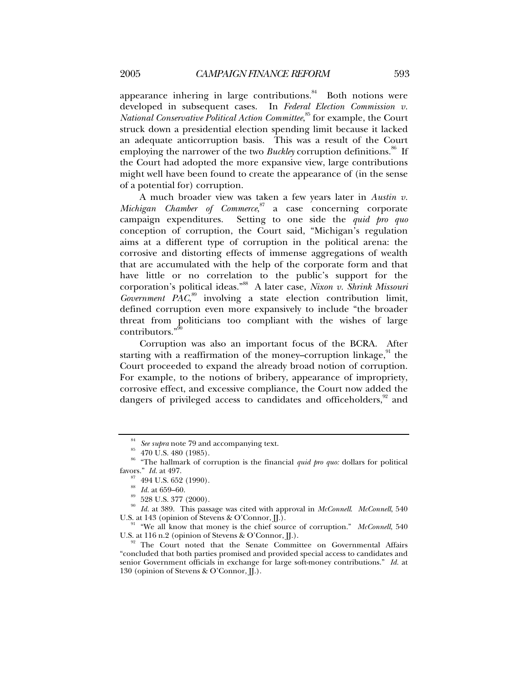appearance inhering in large contributions. $84$  Both notions were developed in subsequent cases. In *Federal Election Commission v. National Conservative Political Action Committee*, <sup>85</sup> for example, the Court struck down a presidential election spending limit because it lacked an adequate anticorruption basis. This was a result of the Court employing the narrower of the two *Buckley* corruption definitions.<sup>86</sup> If the Court had adopted the more expansive view, large contributions might well have been found to create the appearance of (in the sense of a potential for) corruption.

A much broader view was taken a few years later in *Austin v. Michigan Chamber of Commerce*, 87 a case concerning corporate campaign expenditures. Setting to one side the *quid pro quo* conception of corruption, the Court said, "Michigan's regulation aims at a different type of corruption in the political arena: the corrosive and distorting effects of immense aggregations of wealth that are accumulated with the help of the corporate form and that have little or no correlation to the public's support for the corporation's political ideas."88 A later case, *Nixon v. Shrink Missouri*  Government PAC,<sup>89</sup> involving a state election contribution limit, defined corruption even more expansively to include "the broader threat from politicians too compliant with the wishes of large contributors."90

Corruption was also an important focus of the BCRA. After starting with a reaffirmation of the money–corruption linkage, $91$  the Court proceeded to expand the already broad notion of corruption. For example, to the notions of bribery, appearance of impropriety, corrosive effect, and excessive compliance, the Court now added the dangers of privileged access to candidates and officeholders,<sup>92</sup> and

<sup>84</sup> *See supra* note 79 and accompanying text. 85 470 U.S. 480 (1985).

<sup>&</sup>lt;sup>86</sup> "The hallmark of corruption is the financial *quid pro quo:* dollars for political favors." *Id.* at 497.

 $\frac{87}{88}$  494 U.S. 652 (1990).<br> $\frac{1}{100}$  *Id.* at 659–60.

 $^{\rm 89}$  528 U.S. 377 (2000).

<sup>&</sup>lt;sup>90</sup> Id. at 389. This passage was cited with approval in *McConnell*. *McConnell*, 540 U.S. at 143 (opinion of Stevens & O'Connor, *JJ*.).

<sup>&</sup>lt;sup>91</sup> "We all know that money is the chief source of corruption." *McConnell*, 540 U.S. at 116 n.2 (opinion of Stevens & O'Connor, JJ.).

The Court noted that the Senate Committee on Governmental Affairs "concluded that both parties promised and provided special access to candidates and senior Government officials in exchange for large soft-money contributions." *Id.* at 130 (opinion of Stevens & O'Connor, JJ.).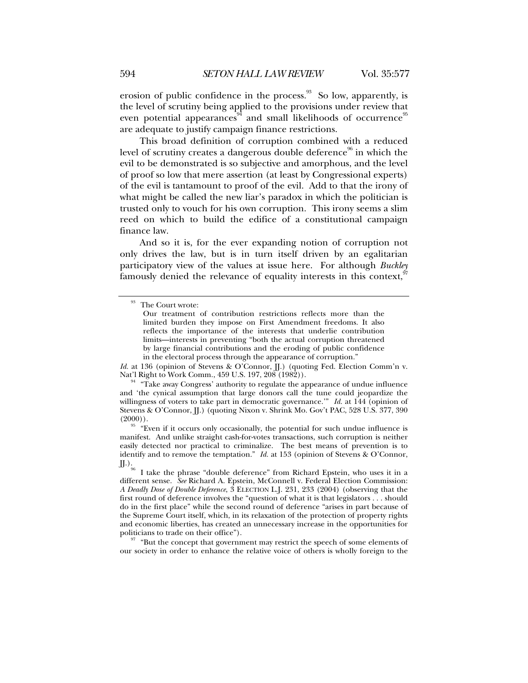erosion of public confidence in the process. $93$  So low, apparently, is the level of scrutiny being applied to the provisions under review that even potential appearances<sup>94</sup> and small likelihoods of occurrence<sup>95</sup> are adequate to justify campaign finance restrictions.

This broad definition of corruption combined with a reduced level of scrutiny creates a dangerous double deference<sup>96</sup> in which the evil to be demonstrated is so subjective and amorphous, and the level of proof so low that mere assertion (at least by Congressional experts) of the evil is tantamount to proof of the evil. Add to that the irony of what might be called the new liar's paradox in which the politician is trusted only to vouch for his own corruption. This irony seems a slim reed on which to build the edifice of a constitutional campaign finance law.

And so it is, for the ever expanding notion of corruption not only drives the law, but is in turn itself driven by an egalitarian participatory view of the values at issue here. For although *Buckley* famously denied the relevance of equality interests in this context,  $\mathcal{I}$ 

*Id.* at 136 (opinion of Stevens & O'Connor, II.) (quoting Fed. Election Comm'n v. Nat'l Right to Work Comm., 459 U.S. 197, 208 (1982)).<br><sup>94</sup> "Take away Congress' authority to regulate the appearance of undue influence

 $\frac{97}{97}$  "But the concept that government may restrict the speech of some elements of our society in order to enhance the relative voice of others is wholly foreign to the

 $^\mathrm{93}$  The Court wrote:

Our treatment of contribution restrictions reflects more than the limited burden they impose on First Amendment freedoms. It also reflects the importance of the interests that underlie contribution limits—interests in preventing "both the actual corruption threatened by large financial contributions and the eroding of public confidence in the electoral process through the appearance of corruption."

and 'the cynical assumption that large donors call the tune could jeopardize the willingness of voters to take part in democratic governance.'" *Id.* at 144 (opinion of Stevens & O'Connor, J.) (quoting Nixon v. Shrink Mo. Gov't PAC, 528 U.S. 377, 390  $(2000)$ ).<br><sup>95</sup> "Even if it occurs only occasionally, the potential for such undue influence is

manifest. And unlike straight cash-for-votes transactions, such corruption is neither easily detected nor practical to criminalize. The best means of prevention is to identify and to remove the temptation." *Id.* at 153 (opinion of Stevens & O'Connor,  $\iiint_{\infty}$ .

I take the phrase "double deference" from Richard Epstein, who uses it in a different sense. *See* Richard A. Epstein, McConnell v. Federal Election Commission: *A Deadly Dose of Double Deference*, 3 ELECTION L.J. 231, 233 (2004) (observing that the first round of deference involves the "question of what it is that legislators . . . should do in the first place" while the second round of deference "arises in part because of the Supreme Court itself, which, in its relaxation of the protection of property rights and economic liberties, has created an unnecessary increase in the opportunities for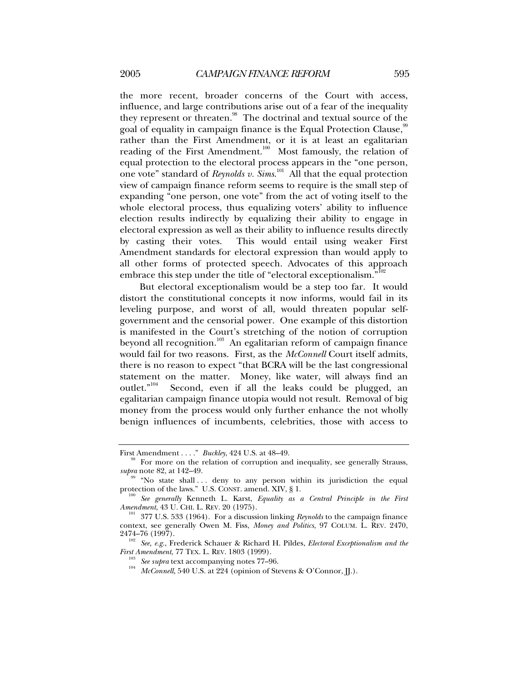the more recent, broader concerns of the Court with access, influence, and large contributions arise out of a fear of the inequality they represent or threaten.<sup>98</sup> The doctrinal and textual source of the goal of equality in campaign finance is the Equal Protection Clause,<sup>99</sup> rather than the First Amendment, or it is at least an egalitarian reading of the First Amendment. $100$  Most famously, the relation of equal protection to the electoral process appears in the "one person, one vote" standard of *Reynolds v. Sims*. 101 All that the equal protection view of campaign finance reform seems to require is the small step of expanding "one person, one vote" from the act of voting itself to the whole electoral process, thus equalizing voters' ability to influence election results indirectly by equalizing their ability to engage in electoral expression as well as their ability to influence results directly by casting their votes. This would entail using weaker First Amendment standards for electoral expression than would apply to all other forms of protected speech. Advocates of this approach embrace this step under the title of "electoral exceptionalism."<sup>102</sup>

But electoral exceptionalism would be a step too far. It would distort the constitutional concepts it now informs, would fail in its leveling purpose, and worst of all, would threaten popular selfgovernment and the censorial power. One example of this distortion is manifested in the Court's stretching of the notion of corruption beyond all recognition.<sup>103</sup> An egalitarian reform of campaign finance would fail for two reasons. First, as the *McConnell* Court itself admits, there is no reason to expect "that BCRA will be the last congressional statement on the matter. Money, like water, will always find an outlet."<sup>104</sup> Second, even if all the leaks could be plugged. an Second, even if all the leaks could be plugged, an egalitarian campaign finance utopia would not result. Removal of big money from the process would only further enhance the not wholly benign influences of incumbents, celebrities, those with access to

First Amendment . . . ." *Buckley*, 424 U.S. at 48–49.<br><sup>98</sup> For more on the relation of corruption and inequality, see generally Strauss, *supra* note 82, at 142–49.

<sup>&</sup>lt;sup>99</sup> "No state shall ... deny to any person within its jurisdiction the equal protection of the laws." U.S. CONST. amend. XIV,  $\S$  1.

<sup>&</sup>lt;sup>100</sup> See generally Kenneth L. Karst, *Equality as a Central Principle in the First Amendment*, 43 U. CHI. L. REV. 20 (1975).

<sup>&</sup>lt;sup>101</sup> 377 U.S. 533 (1964). For a discussion linking *Reynolds* to the campaign finance context, see generally Owen M. Fiss, *Money and Politics*, 97 COLUM. L. REV. 2470,

<sup>&</sup>lt;sup>102</sup> See, e.g., Frederick Schauer & Richard H. Pildes, *Electoral Exceptionalism and the First Amendment*, 77 TEX. L. REV. 1803 (1999).

<sup>&</sup>lt;sup>103</sup> See supra text accompanying notes 77–96.<br><sup>104</sup> McConnell, 540 U.S. at 224 (opinion of Stevens & O'Connor, JJ.).